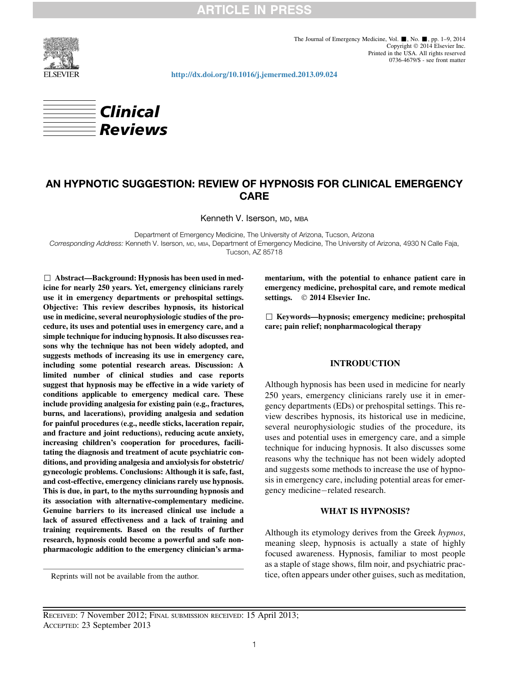

<http://dx.doi.org/10.1016/j.jemermed.2013.09.024>



## AN HYPNOTIC SUGGESTION: REVIEW OF HYPNOSIS FOR CLINICAL EMERGENCY CARE

Kenneth V. Iserson, MD, MBA

Department of Emergency Medicine, The University of Arizona, Tucson, Arizona Corresponding Address: Kenneth V. Iserson, MD, MBA, Department of Emergency Medicine, The University of Arizona, 4930 N Calle Faja, Tucson, AZ 85718

 $\Box$  Abstract—Background: Hypnosis has been used in medicine for nearly 250 years. Yet, emergency clinicians rarely use it in emergency departments or prehospital settings. Objective: This review describes hypnosis, its historical use in medicine, several neurophysiologic studies of the procedure, its uses and potential uses in emergency care, and a simple technique for inducing hypnosis. It also discusses reasons why the technique has not been widely adopted, and suggests methods of increasing its use in emergency care, including some potential research areas. Discussion: A limited number of clinical studies and case reports suggest that hypnosis may be effective in a wide variety of conditions applicable to emergency medical care. These include providing analgesia for existing pain (e.g., fractures, burns, and lacerations), providing analgesia and sedation for painful procedures (e.g., needle sticks, laceration repair, and fracture and joint reductions), reducing acute anxiety, increasing children's cooperation for procedures, facilitating the diagnosis and treatment of acute psychiatric conditions, and providing analgesia and anxiolysis for obstetric/ gynecologic problems. Conclusions: Although it is safe, fast, and cost-effective, emergency clinicians rarely use hypnosis. This is due, in part, to the myths surrounding hypnosis and its association with alternative-complementary medicine. Genuine barriers to its increased clinical use include a lack of assured effectiveness and a lack of training and training requirements. Based on the results of further research, hypnosis could become a powerful and safe nonpharmacologic addition to the emergency clinician's arma-

mentarium, with the potential to enhance patient care in emergency medicine, prehospital care, and remote medical settings.  $\oslash$  2014 Elsevier Inc.

 $\Box$  Keywords—hypnosis; emergency medicine; prehospital care; pain relief; nonpharmacological therapy

## INTRODUCTION

Although hypnosis has been used in medicine for nearly 250 years, emergency clinicians rarely use it in emergency departments (EDs) or prehospital settings. This review describes hypnosis, its historical use in medicine, several neurophysiologic studies of the procedure, its uses and potential uses in emergency care, and a simple technique for inducing hypnosis. It also discusses some reasons why the technique has not been widely adopted and suggests some methods to increase the use of hypnosis in emergency care, including potential areas for emergency medicine-related research.

#### WHAT IS HYPNOSIS?

Although its etymology derives from the Greek hypnos, meaning sleep, hypnosis is actually a state of highly focused awareness. Hypnosis, familiar to most people as a staple of stage shows, film noir, and psychiatric prac-Reprints will not be available from the author. tice, often appears under other guises, such as meditation,

RECEIVED: 7 November 2012; FINAL SUBMISSION RECEIVED: 15 April 2013; ACCEPTED: 23 September 2013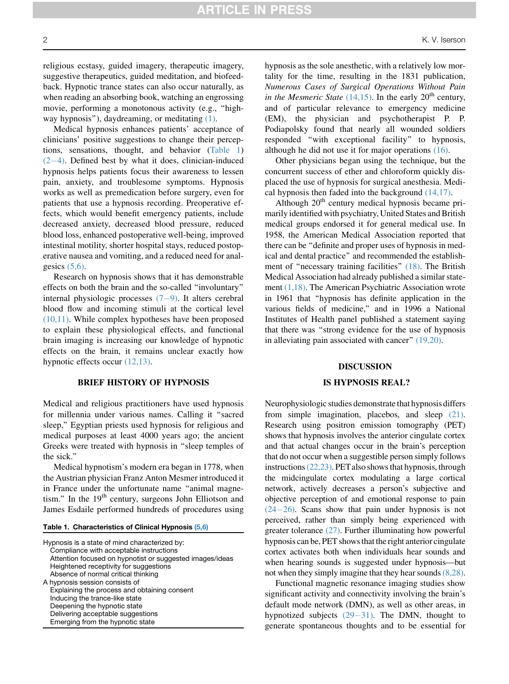**ARTICLE IN PRESS** 

religious ecstasy, guided imagery, therapeutic imagery, suggestive therapeutics, guided meditation, and biofeedback. Hypnotic trance states can also occur naturally, as when reading an absorbing book, watching an engrossing movie, performing a monotonous activity (e.g., ''highway hypnosis''), daydreaming, or meditating [\(1\).](#page-6-0)

Medical hypnosis enhances patients' acceptance of clinicians' positive suggestions to change their perceptions, sensations, thought, and behavior (Table 1)  $(2-4)$  $(2-4)$  $(2-4)$ . Defined best by what it does, clinician-induced hypnosis helps patients focus their awareness to lessen pain, anxiety, and troublesome symptoms. Hypnosis works as well as premedication before surgery, even for patients that use a hypnosis recording. Preoperative effects, which would benefit emergency patients, include decreased anxiety, decreased blood pressure, reduced blood loss, enhanced postoperative well-being, improved intestinal motility, shorter hospital stays, reduced postoperative nausea and vomiting, and a reduced need for analgesics  $(5,6)$ .

Research on hypnosis shows that it has demonstrable effects on both the brain and the so-called ''involuntary'' internal physiologic processes  $(7-9)$  $(7-9)$  $(7-9)$ . It alters cerebral blood flow and incoming stimuli at the cortical level [\(10,11\)](#page-6-0). While complex hypotheses have been proposed to explain these physiological effects, and functional brain imaging is increasing our knowledge of hypnotic effects on the brain, it remains unclear exactly how hypnotic effects occur [\(12,13\)](#page-6-0).

## BRIEF HISTORY OF HYPNOSIS

Medical and religious practitioners have used hypnosis for millennia under various names. Calling it ''sacred sleep,'' Egyptian priests used hypnosis for religious and medical purposes at least 4000 years ago; the ancient Greeks were treated with hypnosis in ''sleep temples of the sick.''

Medical hypnotism's modern era began in 1778, when the Austrian physician Franz Anton Mesmer introduced it in France under the unfortunate name ''animal magnetism." In the  $19<sup>th</sup>$  century, surgeons John Elliotson and James Esdaile performed hundreds of procedures using

|  | Table 1. Characteristics of Clinical Hypnosis (5,6) |  |  |  |  |
|--|-----------------------------------------------------|--|--|--|--|
|--|-----------------------------------------------------|--|--|--|--|

| Hypnosis is a state of mind characterized by:<br>Compliance with acceptable instructions<br>Attention focused on hypnotist or suggested images/ideas |  |
|------------------------------------------------------------------------------------------------------------------------------------------------------|--|
| Heightened receptivity for suggestions                                                                                                               |  |
|                                                                                                                                                      |  |
| Absence of normal critical thinking                                                                                                                  |  |
| A hypnosis session consists of                                                                                                                       |  |
| Explaining the process and obtaining consent                                                                                                         |  |
| Inducing the trance-like state                                                                                                                       |  |
| Deepening the hypnotic state                                                                                                                         |  |
| Delivering acceptable suggestions                                                                                                                    |  |
| Emerging from the hypnotic state                                                                                                                     |  |

hypnosis as the sole anesthetic, with a relatively low mortality for the time, resulting in the 1831 publication, Numerous Cases of Surgical Operations Without Pain in the Mesmeric State [\(14,15\).](#page-6-0) In the early  $20<sup>th</sup>$  century, and of particular relevance to emergency medicine (EM), the physician and psychotherapist P. P. Podiapolsky found that nearly all wounded soldiers responded ''with exceptional facility'' to hypnosis, although he did not use it for major operations [\(16\)](#page-6-0).

Other physicians began using the technique, but the concurrent success of ether and chloroform quickly displaced the use of hypnosis for surgical anesthesia. Medical hypnosis then faded into the background [\(14,17\)](#page-6-0).

Although  $20<sup>th</sup>$  century medical hypnosis became primarily identified with psychiatry, United States and British medical groups endorsed it for general medical use. In 1958, the American Medical Association reported that there can be ''definite and proper uses of hypnosis in medical and dental practice'' and recommended the establish-ment of "necessary training facilities" [\(18\)](#page-6-0). The British Medical Association had already published a similar statement [\(1,18\).](#page-6-0) The American Psychiatric Association wrote in 1961 that ''hypnosis has definite application in the various fields of medicine," and in 1996 a National Institutes of Health panel published a statement saying that there was ''strong evidence for the use of hypnosis in alleviating pain associated with cancer" [\(19,20\).](#page-6-0)

#### DISCUSSION

#### IS HYPNOSIS REAL?

Neurophysiologic studies demonstrate that hypnosis differs from simple imagination, placebos, and sleep [\(21\).](#page-6-0) Research using positron emission tomography (PET) shows that hypnosis involves the anterior cingulate cortex and that actual changes occur in the brain's perception that do not occur when a suggestible person simply follows instructions  $(22,23)$ . PET also shows that hypnosis, through the midcingulate cortex modulating a large cortical network, actively decreases a person's subjective and objective perception of and emotional response to pain  $(24-26)$  $(24-26)$ . Scans show that pain under hypnosis is not perceived, rather than simply being experienced with greater tolerance [\(27\).](#page-6-0) Further illuminating how powerful hypnosis can be, PET shows that the right anterior cingulate cortex activates both when individuals hear sounds and when hearing sounds is suggested under hypnosis—but not when they simply imagine that they hear sounds[\(8,28\).](#page-6-0)

Functional magnetic resonance imaging studies show significant activity and connectivity involving the brain's default mode network (DMN), as well as other areas, in hypnotized subjects  $(29-31)$  $(29-31)$  $(29-31)$ . The DMN, thought to generate spontaneous thoughts and to be essential for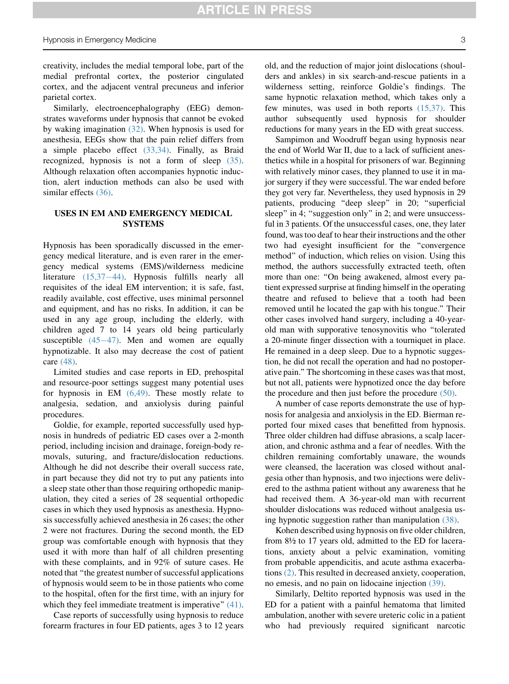creativity, includes the medial temporal lobe, part of the medial prefrontal cortex, the posterior cingulated cortex, and the adjacent ventral precuneus and inferior parietal cortex.

Similarly, electroencephalography (EEG) demonstrates waveforms under hypnosis that cannot be evoked by waking imagination [\(32\)](#page-6-0). When hypnosis is used for anesthesia, EEGs show that the pain relief differs from a simple placebo effect [\(33,34\)](#page-6-0). Finally, as Braid recognized, hypnosis is not a form of sleep [\(35\).](#page-6-0) Although relaxation often accompanies hypnotic induction, alert induction methods can also be used with similar effects [\(36\).](#page-6-0)

## USES IN EM AND EMERGENCY MEDICAL **SYSTEMS**

Hypnosis has been sporadically discussed in the emergency medical literature, and is even rarer in the emergency medical systems (EMS)/wilderness medicine literature [\(15,37](#page-6-0)-[44\)](#page-6-0). Hypnosis fulfills nearly all requisites of the ideal EM intervention; it is safe, fast, readily available, cost effective, uses minimal personnel and equipment, and has no risks. In addition, it can be used in any age group, including the elderly, with children aged 7 to 14 years old being particularly susceptible  $(45-47)$  $(45-47)$ . Men and women are equally hypnotizable. It also may decrease the cost of patient care [\(48\)](#page-6-0).

Limited studies and case reports in ED, prehospital and resource-poor settings suggest many potential uses for hypnosis in EM [\(6,49\).](#page-6-0) These mostly relate to analgesia, sedation, and anxiolysis during painful procedures.

Goldie, for example, reported successfully used hypnosis in hundreds of pediatric ED cases over a 2-month period, including incision and drainage, foreign-body removals, suturing, and fracture/dislocation reductions. Although he did not describe their overall success rate, in part because they did not try to put any patients into a sleep state other than those requiring orthopedic manipulation, they cited a series of 28 sequential orthopedic cases in which they used hypnosis as anesthesia. Hypnosis successfully achieved anesthesia in 26 cases; the other 2 were not fractures. During the second month, the ED group was comfortable enough with hypnosis that they used it with more than half of all children presenting with these complaints, and in 92% of suture cases. He noted that ''the greatest number of successful applications of hypnosis would seem to be in those patients who come to the hospital, often for the first time, with an injury for which they feel immediate treatment is imperative" [\(41\).](#page-6-0)

Case reports of successfully using hypnosis to reduce forearm fractures in four ED patients, ages 3 to 12 years old, and the reduction of major joint dislocations (shoulders and ankles) in six search-and-rescue patients in a wilderness setting, reinforce Goldie's findings. The same hypnotic relaxation method, which takes only a few minutes, was used in both reports [\(15,37\).](#page-6-0) This author subsequently used hypnosis for shoulder reductions for many years in the ED with great success.

Sampimon and Woodruff began using hypnosis near the end of World War II, due to a lack of sufficient anesthetics while in a hospital for prisoners of war. Beginning with relatively minor cases, they planned to use it in major surgery if they were successful. The war ended before they got very far. Nevertheless, they used hypnosis in 29 patients, producing "deep sleep" in 20; "superficial sleep" in 4; "suggestion only" in 2; and were unsuccessful in 3 patients. Of the unsuccessful cases, one, they later found, was too deaf to hear their instructions and the other two had eyesight insufficient for the ''convergence method'' of induction, which relies on vision. Using this method, the authors successfully extracted teeth, often more than one: "On being awakened, almost every patient expressed surprise at finding himself in the operating theatre and refused to believe that a tooth had been removed until he located the gap with his tongue.'' Their other cases involved hand surgery, including a 40-yearold man with supporative tenosynovitis who ''tolerated a 20-minute finger dissection with a tourniquet in place. He remained in a deep sleep. Due to a hypnotic suggestion, he did not recall the operation and had no postoperative pain.'' The shortcoming in these cases was that most, but not all, patients were hypnotized once the day before the procedure and then just before the procedure [\(50\).](#page-7-0)

A number of case reports demonstrate the use of hypnosis for analgesia and anxiolysis in the ED. Bierman reported four mixed cases that benefitted from hypnosis. Three older children had diffuse abrasions, a scalp laceration, and chronic asthma and a fear of needles. With the children remaining comfortably unaware, the wounds were cleansed, the laceration was closed without analgesia other than hypnosis, and two injections were delivered to the asthma patient without any awareness that he had received them. A 36-year-old man with recurrent shoulder dislocations was reduced without analgesia using hypnotic suggestion rather than manipulation [\(38\)](#page-6-0).

Kohen described using hypnosis on five older children, from 8½ to 17 years old, admitted to the ED for lacerations, anxiety about a pelvic examination, vomiting from probable appendicitis, and acute asthma exacerbations [\(2\)](#page-6-0). This resulted in decreased anxiety, cooperation, no emesis, and no pain on lidocaine injection [\(39\)](#page-6-0).

Similarly, Deltito reported hypnosis was used in the ED for a patient with a painful hematoma that limited ambulation, another with severe ureteric colic in a patient who had previously required significant narcotic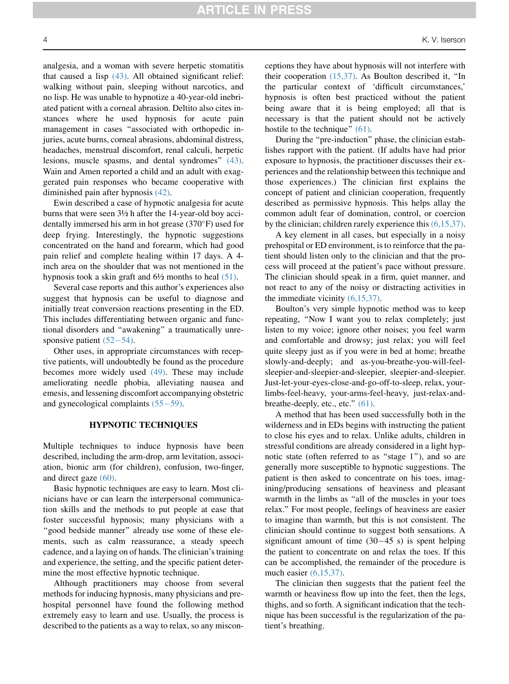**ARTICLE IN PRESS** 

analgesia, and a woman with severe herpetic stomatitis that caused a lisp [\(43\).](#page-6-0) All obtained significant relief: walking without pain, sleeping without narcotics, and no lisp. He was unable to hypnotize a 40-year-old inebriated patient with a corneal abrasion. Deltito also cites instances where he used hypnosis for acute pain management in cases ''associated with orthopedic injuries, acute burns, corneal abrasions, abdominal distress, headaches, menstrual discomfort, renal calculi, herpetic lesions, muscle spasms, and dental syndromes'' [\(43\).](#page-6-0) Wain and Amen reported a child and an adult with exaggerated pain responses who became cooperative with diminished pain after hypnosis [\(42\)](#page-6-0).

Ewin described a case of hypnotic analgesia for acute burns that were seen 3½ h after the 14-year-old boy accidentally immersed his arm in hot grease  $(370^{\circ}F)$  used for deep frying. Interestingly, the hypnotic suggestions concentrated on the hand and forearm, which had good pain relief and complete healing within 17 days. A 4 inch area on the shoulder that was not mentioned in the hypnosis took a skin graft and  $6\frac{1}{2}$  months to heal  $(51)$ .

Several case reports and this author's experiences also suggest that hypnosis can be useful to diagnose and initially treat conversion reactions presenting in the ED. This includes differentiating between organic and functional disorders and ''awakening'' a traumatically unresponsive patient  $(52-54)$  $(52-54)$ .

Other uses, in appropriate circumstances with receptive patients, will undoubtedly be found as the procedure becomes more widely used [\(49\)](#page-7-0). These may include ameliorating needle phobia, alleviating nausea and emesis, and lessening discomfort accompanying obstetric and gynecological complaints  $(55-59)$  $(55-59)$  $(55-59)$ .

### HYPNOTIC TECHNIQUES

Multiple techniques to induce hypnosis have been described, including the arm-drop, arm levitation, association, bionic arm (for children), confusion, two-finger, and direct gaze [\(60\).](#page-7-0)

Basic hypnotic techniques are easy to learn. Most clinicians have or can learn the interpersonal communication skills and the methods to put people at ease that foster successful hypnosis; many physicians with a ''good bedside manner'' already use some of these elements, such as calm reassurance, a steady speech cadence, and a laying on of hands. The clinician's training and experience, the setting, and the specific patient determine the most effective hypnotic technique.

Although practitioners may choose from several methods for inducing hypnosis, many physicians and prehospital personnel have found the following method extremely easy to learn and use. Usually, the process is described to the patients as a way to relax, so any misconceptions they have about hypnosis will not interfere with their cooperation [\(15,37\)](#page-6-0). As Boulton described it, ''In the particular context of 'difficult circumstances,' hypnosis is often best practiced without the patient being aware that it is being employed; all that is necessary is that the patient should not be actively hostile to the technique" [\(61\).](#page-7-0)

During the ''pre-induction'' phase, the clinician establishes rapport with the patient. (If adults have had prior exposure to hypnosis, the practitioner discusses their experiences and the relationship between this technique and those experiences.) The clinician first explains the concept of patient and clinician cooperation, frequently described as permissive hypnosis. This helps allay the common adult fear of domination, control, or coercion by the clinician; children rarely experience this [\(6,15,37\).](#page-6-0)

A key element in all cases, but especially in a noisy prehospital or ED environment, is to reinforce that the patient should listen only to the clinician and that the process will proceed at the patient's pace without pressure. The clinician should speak in a firm, quiet manner, and not react to any of the noisy or distracting activities in the immediate vicinity [\(6,15,37\)](#page-6-0).

Boulton's very simple hypnotic method was to keep repeating, ''Now I want you to relax completely; just listen to my voice; ignore other noises; you feel warm and comfortable and drowsy; just relax; you will feel quite sleepy just as if you were in bed at home; breathe slowly-and-deeply; and as-you-breathe-you-will-feelsleepier-and-sleepier-and-sleepier, sleepier-and-sleepier. Just-let-your-eyes-close-and-go-off-to-sleep, relax, yourlimbs-feel-heavy, your-arms-feel-heavy, just-relax-and-breathe-deeply, etc., etc." [\(61\)](#page-7-0).

A method that has been used successfully both in the wilderness and in EDs begins with instructing the patient to close his eyes and to relax. Unlike adults, children in stressful conditions are already considered in a light hypnotic state (often referred to as ''stage 1''), and so are generally more susceptible to hypnotic suggestions. The patient is then asked to concentrate on his toes, imagining/producing sensations of heaviness and pleasant warmth in the limbs as "all of the muscles in your toes relax.'' For most people, feelings of heaviness are easier to imagine than warmth, but this is not consistent. The clinician should continue to suggest both sensations. A significant amount of time  $(30-45 s)$  is spent helping the patient to concentrate on and relax the toes. If this can be accomplished, the remainder of the procedure is much easier [\(6,15,37\).](#page-6-0)

The clinician then suggests that the patient feel the warmth or heaviness flow up into the feet, then the legs, thighs, and so forth. A significant indication that the technique has been successful is the regularization of the patient's breathing.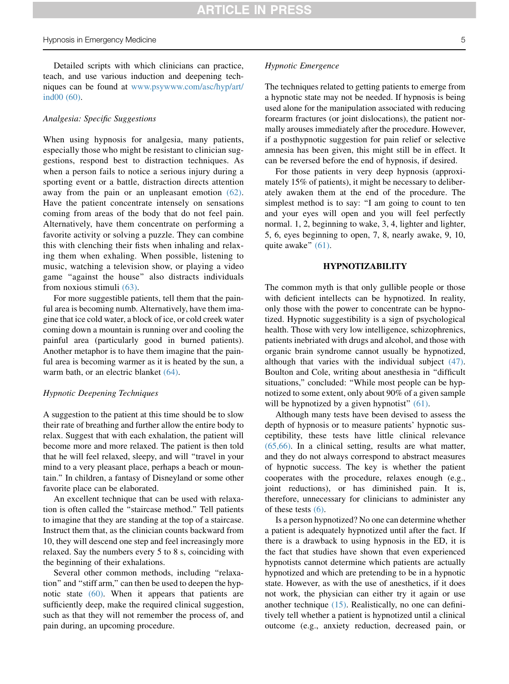Detailed scripts with which clinicians can practice, teach, and use various induction and deepening techniques can be found at [www.psywww.com/asc/hyp/art/](http://www.psywww.com/asc/hyp/art/ind00) [ind00](http://www.psywww.com/asc/hyp/art/ind00) [\(60\)](#page-7-0).

#### Analgesia: Specific Suggestions

When using hypnosis for analgesia, many patients, especially those who might be resistant to clinician suggestions, respond best to distraction techniques. As when a person fails to notice a serious injury during a sporting event or a battle, distraction directs attention away from the pain or an unpleasant emotion [\(62\).](#page-7-0) Have the patient concentrate intensely on sensations coming from areas of the body that do not feel pain. Alternatively, have them concentrate on performing a favorite activity or solving a puzzle. They can combine this with clenching their fists when inhaling and relaxing them when exhaling. When possible, listening to music, watching a television show, or playing a video game ''against the house'' also distracts individuals from noxious stimuli [\(63\)](#page-7-0).

For more suggestible patients, tell them that the painful area is becoming numb. Alternatively, have them imagine that ice cold water, a block of ice, or cold creek water coming down a mountain is running over and cooling the painful area (particularly good in burned patients). Another metaphor is to have them imagine that the painful area is becoming warmer as it is heated by the sun, a warm bath, or an electric blanket [\(64\).](#page-7-0)

#### Hypnotic Deepening Techniques

A suggestion to the patient at this time should be to slow their rate of breathing and further allow the entire body to relax. Suggest that with each exhalation, the patient will become more and more relaxed. The patient is then told that he will feel relaxed, sleepy, and will ''travel in your mind to a very pleasant place, perhaps a beach or mountain.'' In children, a fantasy of Disneyland or some other favorite place can be elaborated.

An excellent technique that can be used with relaxation is often called the ''staircase method.'' Tell patients to imagine that they are standing at the top of a staircase. Instruct them that, as the clinician counts backward from 10, they will descend one step and feel increasingly more relaxed. Say the numbers every 5 to 8 s, coinciding with the beginning of their exhalations.

Several other common methods, including "relaxation'' and ''stiff arm,'' can then be used to deepen the hypnotic state  $(60)$ . When it appears that patients are sufficiently deep, make the required clinical suggestion, such as that they will not remember the process of, and pain during, an upcoming procedure.

#### Hypnotic Emergence

The techniques related to getting patients to emerge from a hypnotic state may not be needed. If hypnosis is being used alone for the manipulation associated with reducing forearm fractures (or joint dislocations), the patient normally arouses immediately after the procedure. However, if a posthypnotic suggestion for pain relief or selective amnesia has been given, this might still be in effect. It can be reversed before the end of hypnosis, if desired.

For those patients in very deep hypnosis (approximately 15% of patients), it might be necessary to deliberately awaken them at the end of the procedure. The simplest method is to say: ''I am going to count to ten and your eyes will open and you will feel perfectly normal. 1, 2, beginning to wake, 3, 4, lighter and lighter, 5, 6, eyes beginning to open, 7, 8, nearly awake, 9, 10, quite awake" [\(61\)](#page-7-0).

#### HYPNOTIZABILITY

The common myth is that only gullible people or those with deficient intellects can be hypnotized. In reality, only those with the power to concentrate can be hypnotized. Hypnotic suggestibility is a sign of psychological health. Those with very low intelligence, schizophrenics, patients inebriated with drugs and alcohol, and those with organic brain syndrome cannot usually be hypnotized, although that varies with the individual subject [\(47\).](#page-6-0) Boulton and Cole, writing about anesthesia in ''difficult situations," concluded: "While most people can be hypnotized to some extent, only about 90% of a given sample will be hypnotized by a given hypnotist" [\(61\).](#page-7-0)

Although many tests have been devised to assess the depth of hypnosis or to measure patients' hypnotic susceptibility, these tests have little clinical relevance [\(65,66\)](#page-7-0). In a clinical setting, results are what matter, and they do not always correspond to abstract measures of hypnotic success. The key is whether the patient cooperates with the procedure, relaxes enough (e.g., joint reductions), or has diminished pain. It is, therefore, unnecessary for clinicians to administer any of these tests [\(6\).](#page-6-0)

Is a person hypnotized? No one can determine whether a patient is adequately hypnotized until after the fact. If there is a drawback to using hypnosis in the ED, it is the fact that studies have shown that even experienced hypnotists cannot determine which patients are actually hypnotized and which are pretending to be in a hypnotic state. However, as with the use of anesthetics, if it does not work, the physician can either try it again or use another technique [\(15\)](#page-6-0). Realistically, no one can definitively tell whether a patient is hypnotized until a clinical outcome (e.g., anxiety reduction, decreased pain, or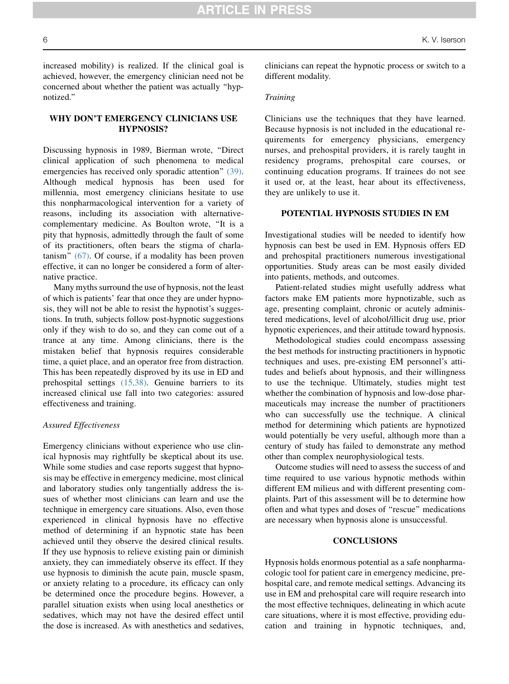increased mobility) is realized. If the clinical goal is achieved, however, the emergency clinician need not be concerned about whether the patient was actually ''hypnotized.''

## WHY DON'T EMERGENCY CLINICIANS USE HYPNOSIS?

Discussing hypnosis in 1989, Bierman wrote, ''Direct clinical application of such phenomena to medical emergencies has received only sporadic attention'' [\(39\).](#page-6-0) Although medical hypnosis has been used for millennia, most emergency clinicians hesitate to use this nonpharmacological intervention for a variety of reasons, including its association with alternativecomplementary medicine. As Boulton wrote, ''It is a pity that hypnosis, admittedly through the fault of some of its practitioners, often bears the stigma of charlatanism'' [\(67\)](#page-7-0). Of course, if a modality has been proven effective, it can no longer be considered a form of alternative practice.

Many myths surround the use of hypnosis, not the least of which is patients' fear that once they are under hypnosis, they will not be able to resist the hypnotist's suggestions. In truth, subjects follow post-hypnotic suggestions only if they wish to do so, and they can come out of a trance at any time. Among clinicians, there is the mistaken belief that hypnosis requires considerable time, a quiet place, and an operator free from distraction. This has been repeatedly disproved by its use in ED and prehospital settings [\(15,38\).](#page-6-0) Genuine barriers to its increased clinical use fall into two categories: assured effectiveness and training.

#### Assured Effectiveness

Emergency clinicians without experience who use clinical hypnosis may rightfully be skeptical about its use. While some studies and case reports suggest that hypnosis may be effective in emergency medicine, most clinical and laboratory studies only tangentially address the issues of whether most clinicians can learn and use the technique in emergency care situations. Also, even those experienced in clinical hypnosis have no effective method of determining if an hypnotic state has been achieved until they observe the desired clinical results. If they use hypnosis to relieve existing pain or diminish anxiety, they can immediately observe its effect. If they use hypnosis to diminish the acute pain, muscle spasm, or anxiety relating to a procedure, its efficacy can only be determined once the procedure begins. However, a parallel situation exists when using local anesthetics or sedatives, which may not have the desired effect until the dose is increased. As with anesthetics and sedatives,

clinicians can repeat the hypnotic process or switch to a different modality.

#### **Training**

Clinicians use the techniques that they have learned. Because hypnosis is not included in the educational requirements for emergency physicians, emergency nurses, and prehospital providers, it is rarely taught in residency programs, prehospital care courses, or continuing education programs. If trainees do not see it used or, at the least, hear about its effectiveness, they are unlikely to use it.

## POTENTIAL HYPNOSIS STUDIES IN EM

Investigational studies will be needed to identify how hypnosis can best be used in EM. Hypnosis offers ED and prehospital practitioners numerous investigational opportunities. Study areas can be most easily divided into patients, methods, and outcomes.

Patient-related studies might usefully address what factors make EM patients more hypnotizable, such as age, presenting complaint, chronic or acutely administered medications, level of alcohol/illicit drug use, prior hypnotic experiences, and their attitude toward hypnosis.

Methodological studies could encompass assessing the best methods for instructing practitioners in hypnotic techniques and uses, pre-existing EM personnel's attitudes and beliefs about hypnosis, and their willingness to use the technique. Ultimately, studies might test whether the combination of hypnosis and low-dose pharmaceuticals may increase the number of practitioners who can successfully use the technique. A clinical method for determining which patients are hypnotized would potentially be very useful, although more than a century of study has failed to demonstrate any method other than complex neurophysiological tests.

Outcome studies will need to assess the success of and time required to use various hypnotic methods within different EM milieus and with different presenting complaints. Part of this assessment will be to determine how often and what types and doses of ''rescue'' medications are necessary when hypnosis alone is unsuccessful.

## **CONCLUSIONS**

Hypnosis holds enormous potential as a safe nonpharmacologic tool for patient care in emergency medicine, prehospital care, and remote medical settings. Advancing its use in EM and prehospital care will require research into the most effective techniques, delineating in which acute care situations, where it is most effective, providing education and training in hypnotic techniques, and,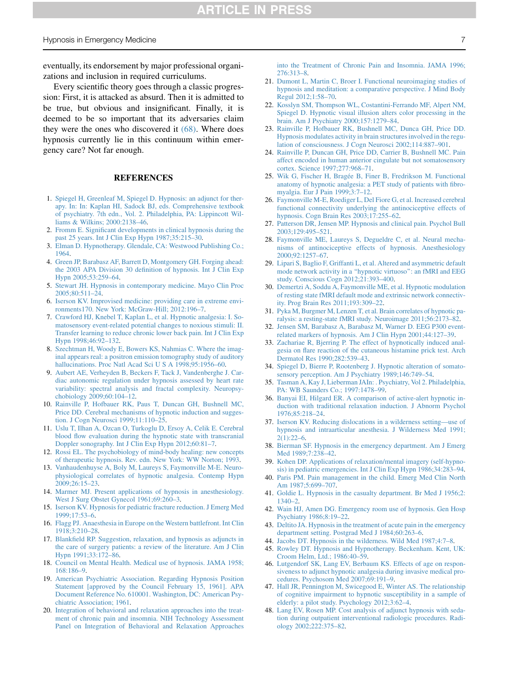<span id="page-6-0"></span>eventually, its endorsement by major professional organizations and inclusion in required curriculums.

Every scientific theory goes through a classic progression: First, it is attacked as absurd. Then it is admitted to be true, but obvious and insignificant. Finally, it is deemed to be so important that its adversaries claim they were the ones who discovered it [\(68\).](#page-7-0) Where does hypnosis currently lie in this continuum within emergency care? Not far enough.

#### REFERENCES

- 1. [Spiegel H, Greenleaf M, Spiegel D. Hypnosis: an adjunct for ther](http://refhub.elsevier.com/S0736-4679(13)01137-2/sref1)[apy. In: In: Kaplan HI, Sadock BJ, eds. Comprehensive textbook](http://refhub.elsevier.com/S0736-4679(13)01137-2/sref1) [of psychiatry. 7th edn., Vol. 2. Philadelphia, PA: Lippincott Wil](http://refhub.elsevier.com/S0736-4679(13)01137-2/sref1)[liams & Wilkins; 2000:2138–46.](http://refhub.elsevier.com/S0736-4679(13)01137-2/sref1)
- 2. [Fromm E. Significant developments in clinical hypnosis during the](http://refhub.elsevier.com/S0736-4679(13)01137-2/sref2) [past 25 years. Int J Clin Exp Hypn 1987;35:215–30](http://refhub.elsevier.com/S0736-4679(13)01137-2/sref2).
- 3. [Elman D. Hypnotherapy. Glendale, CA: Westwood Publishing Co.;](http://refhub.elsevier.com/S0736-4679(13)01137-2/sref3) [1964.](http://refhub.elsevier.com/S0736-4679(13)01137-2/sref3)
- 4. [Green JP, Barabasz AF, Barrett D, Montgomery GH. Forging ahead:](http://refhub.elsevier.com/S0736-4679(13)01137-2/sref4) [the 2003 APA Division 30 definition of hypnosis. Int J Clin Exp](http://refhub.elsevier.com/S0736-4679(13)01137-2/sref4) [Hypn 2005;53:259–64.](http://refhub.elsevier.com/S0736-4679(13)01137-2/sref4)
- 5. [Stewart JH. Hypnosis in contemporary medicine. Mayo Clin Proc](http://refhub.elsevier.com/S0736-4679(13)01137-2/sref5) [2005;80:511–24.](http://refhub.elsevier.com/S0736-4679(13)01137-2/sref5)
- 6. [Iserson KV. Improvised medicine: providing care in extreme envi](http://refhub.elsevier.com/S0736-4679(13)01137-2/sref6)[ronments170. New York: McGraw-Hill; 2012:196–7](http://refhub.elsevier.com/S0736-4679(13)01137-2/sref6).
- 7. [Crawford HJ, Knebel T, Kaplan L, et al. Hypnotic analgesia: I. So](http://refhub.elsevier.com/S0736-4679(13)01137-2/sref7)[matosensory event-related potential changes to noxious stimuli: II.](http://refhub.elsevier.com/S0736-4679(13)01137-2/sref7) [Transfer learning to reduce chronic lower back pain. Int J Clin Exp](http://refhub.elsevier.com/S0736-4679(13)01137-2/sref7) [Hypn 1998;46:92–132.](http://refhub.elsevier.com/S0736-4679(13)01137-2/sref7)
- 8. [Szechtman H, Woody E, Bowers KS, Nahmias C. Where the imag](http://refhub.elsevier.com/S0736-4679(13)01137-2/sref8)[inal appears real: a positron emission tomography study of auditory](http://refhub.elsevier.com/S0736-4679(13)01137-2/sref8) [hallucinations. Proc Natl Acad Sci U S A 1998;95:1956–60](http://refhub.elsevier.com/S0736-4679(13)01137-2/sref8).
- 9. [Aubert AE, Verheyden B, Beckers F, Tack J, Vandenberghe J. Car](http://refhub.elsevier.com/S0736-4679(13)01137-2/sref9)[diac autonomic regulation under hypnosis assessed by heart rate](http://refhub.elsevier.com/S0736-4679(13)01137-2/sref9) [variability: spectral analysis and fractal complexity. Neuropsy](http://refhub.elsevier.com/S0736-4679(13)01137-2/sref9)[chobiology 2009;60:104–12.](http://refhub.elsevier.com/S0736-4679(13)01137-2/sref9)
- 10. [Rainville P, Hofbauer RK, Paus T, Duncan GH, Bushnell MC,](http://refhub.elsevier.com/S0736-4679(13)01137-2/sref10) [Price DD. Cerebral mechanisms of hypnotic induction and sugges](http://refhub.elsevier.com/S0736-4679(13)01137-2/sref10)[tion. J Cogn Neurosci 1999;11:110–25](http://refhub.elsevier.com/S0736-4679(13)01137-2/sref10).
- 11. [Uslu T, Ilhan A, Ozcan O, Turkoglu D, Ersoy A, Celik E. Cerebral](http://refhub.elsevier.com/S0736-4679(13)01137-2/sref11) [blood flow evaluation during the hypnotic state with transcranial](http://refhub.elsevier.com/S0736-4679(13)01137-2/sref11) [Doppler sonography. Int J Clin Exp Hypn 2012;60:81–7](http://refhub.elsevier.com/S0736-4679(13)01137-2/sref11).
- 12. [Rossi EL. The psychobiology of mind-body healing: new concepts](http://refhub.elsevier.com/S0736-4679(13)01137-2/sref12) [of therapeutic hypnosis. Rev. edn. New York: WW Norton; 1993.](http://refhub.elsevier.com/S0736-4679(13)01137-2/sref12)
- 13. [Vanhaudenhuyse A, Boly M, Laureys S, Faymonville M-E. Neuro](http://refhub.elsevier.com/S0736-4679(13)01137-2/sref13)[physiological correlates of hypnotic analgesia. Contemp Hypn](http://refhub.elsevier.com/S0736-4679(13)01137-2/sref13) [2009;26:15–23.](http://refhub.elsevier.com/S0736-4679(13)01137-2/sref13)
- 14. [Marmer MJ. Present applications of hypnosis in anesthesiology.](http://refhub.elsevier.com/S0736-4679(13)01137-2/sref14) [West J Surg Obstet Gynecol 1961;69:260–3](http://refhub.elsevier.com/S0736-4679(13)01137-2/sref14).
- 15. [Iserson KV. Hypnosis for pediatric fracture reduction. J Emerg Med](http://refhub.elsevier.com/S0736-4679(13)01137-2/sref15) [1999;17:53–6.](http://refhub.elsevier.com/S0736-4679(13)01137-2/sref15)
- 16. [Flagg PJ. Anaesthesia in Europe on the Western battlefront. Int Clin](http://refhub.elsevier.com/S0736-4679(13)01137-2/sref16) [1918;3:210–28.](http://refhub.elsevier.com/S0736-4679(13)01137-2/sref16)
- 17. [Blankfield RP. Suggestion, relaxation, and hypnosis as adjuncts in](http://refhub.elsevier.com/S0736-4679(13)01137-2/sref17) [the care of surgery patients: a review of the literature. Am J Clin](http://refhub.elsevier.com/S0736-4679(13)01137-2/sref17) [Hypn 1991;33:172–86.](http://refhub.elsevier.com/S0736-4679(13)01137-2/sref17)
- 18. [Council on Mental Health. Medical use of hypnosis. JAMA 1958;](http://refhub.elsevier.com/S0736-4679(13)01137-2/sref18) [168:186–9.](http://refhub.elsevier.com/S0736-4679(13)01137-2/sref18)
- 19. [American Psychiatric Association. Regarding Hypnosis Position](http://refhub.elsevier.com/S0736-4679(13)01137-2/sref19) [Statement \[approved by the Council February 15, 1961\]. APA](http://refhub.elsevier.com/S0736-4679(13)01137-2/sref19) [Document Reference No. 610001. Washington, DC: American Psy](http://refhub.elsevier.com/S0736-4679(13)01137-2/sref19)[chiatric Association; 1961.](http://refhub.elsevier.com/S0736-4679(13)01137-2/sref19)
- 20. [Integration of behavioral and relaxation approaches into the treat](http://refhub.elsevier.com/S0736-4679(13)01137-2/sref20)[ment of chronic pain and insomnia. NIH Technology Assessment](http://refhub.elsevier.com/S0736-4679(13)01137-2/sref20) [Panel on Integration of Behavioral and Relaxation Approaches](http://refhub.elsevier.com/S0736-4679(13)01137-2/sref20)

[into the Treatment of Chronic Pain and Insomnia. JAMA 1996;](http://refhub.elsevier.com/S0736-4679(13)01137-2/sref20) [276:313–8.](http://refhub.elsevier.com/S0736-4679(13)01137-2/sref20)

- 21. [Dumont L, Martin C, Broer I. Functional neuroimaging studies of](http://refhub.elsevier.com/S0736-4679(13)01137-2/sref21) [hypnosis and meditation: a comparative perspective. J Mind Body](http://refhub.elsevier.com/S0736-4679(13)01137-2/sref21) [Regul 2012;1:58–70](http://refhub.elsevier.com/S0736-4679(13)01137-2/sref21).
- 22. [Kosslyn SM, Thompson WL, Costantini-Ferrando MF, Alpert NM,](http://refhub.elsevier.com/S0736-4679(13)01137-2/sref22) [Spiegel D. Hypnotic visual illusion alters color processing in the](http://refhub.elsevier.com/S0736-4679(13)01137-2/sref22) [brain. Am J Psychiatry 2000;157:1279–84.](http://refhub.elsevier.com/S0736-4679(13)01137-2/sref22)
- 23. [Rainville P, Hofbauer RK, Bushnell MC, Dunca GH, Price DD.](http://refhub.elsevier.com/S0736-4679(13)01137-2/sref23) [Hypnosis modulates activity in brain structures involved in the regu](http://refhub.elsevier.com/S0736-4679(13)01137-2/sref23)[lation of consciousness. J Cogn Neurosci 2002;114:887–901](http://refhub.elsevier.com/S0736-4679(13)01137-2/sref23).
- 24. [Rainville P, Duncan GH, Price DD, Carrier B, Bushnell MC. Pain](http://refhub.elsevier.com/S0736-4679(13)01137-2/sref24) [affect encoded in human anterior cingulate but not somatosensory](http://refhub.elsevier.com/S0736-4679(13)01137-2/sref24) [cortex. Science 1997;277:968–71.](http://refhub.elsevier.com/S0736-4679(13)01137-2/sref24)
- 25. Wik G, Fischer H, Bragée B, Finer B, Fredrikson M. Functional [anatomy of hypnotic analgesia: a PET study of patients with fibro](http://refhub.elsevier.com/S0736-4679(13)01137-2/sref25)[myalgia. Eur J Pain 1999;3:7–12](http://refhub.elsevier.com/S0736-4679(13)01137-2/sref25).
- 26. [Faymonville M-E, Roediger L, Del Fiore G, et al. Increased cerebral](http://refhub.elsevier.com/S0736-4679(13)01137-2/sref26) [functional connectivity underlying the antinociceptive effects of](http://refhub.elsevier.com/S0736-4679(13)01137-2/sref26) [hypnosis. Cogn Brain Res 2003;17:255–62.](http://refhub.elsevier.com/S0736-4679(13)01137-2/sref26)
- 27. [Patterson DR, Jensen MP. Hypnosis and clinical pain. Psychol Bull](http://refhub.elsevier.com/S0736-4679(13)01137-2/sref27) [2003;129:495–521.](http://refhub.elsevier.com/S0736-4679(13)01137-2/sref27)
- 28. [Faymonville ME, Laureys S, Degueldre C, et al. Neural mecha](http://refhub.elsevier.com/S0736-4679(13)01137-2/sref28)[nisms of antinociceptive effects of hypnosis. Anesthesiology](http://refhub.elsevier.com/S0736-4679(13)01137-2/sref28) [2000;92:1257–67.](http://refhub.elsevier.com/S0736-4679(13)01137-2/sref28)
- 29. [Lipari S, Baglio F, Griffanti L, et al. Altered and asymmetric default](http://refhub.elsevier.com/S0736-4679(13)01137-2/sref29) [mode network activity in a ''hypnotic virtuoso'': an fMRI and EEG](http://refhub.elsevier.com/S0736-4679(13)01137-2/sref29) [study. Conscious Cogn 2012;21:393–400.](http://refhub.elsevier.com/S0736-4679(13)01137-2/sref29)
- 30. [Demertzi A, Soddu A, Faymonville ME, et al. Hypnotic modulation](http://refhub.elsevier.com/S0736-4679(13)01137-2/sref30) [of resting state fMRI default mode and extrinsic network connectiv](http://refhub.elsevier.com/S0736-4679(13)01137-2/sref30)[ity. Prog Brain Res 2011;193:309–22](http://refhub.elsevier.com/S0736-4679(13)01137-2/sref30).
- 31. [Pyka M, Burgmer M, Lenzen T, et al. Brain correlates of hypnotic pa](http://refhub.elsevier.com/S0736-4679(13)01137-2/sref31)[ralysis: a resting-state fMRI study. Neuroimage 2011;56:2173–82.](http://refhub.elsevier.com/S0736-4679(13)01137-2/sref31)
- 32. [Jensen SM, Barabasz A, Barabasz M, Warner D. EEG P300 event](http://refhub.elsevier.com/S0736-4679(13)01137-2/sref32)[related markers of hypnosis. Am J Clin Hypn 2001;44:127–39](http://refhub.elsevier.com/S0736-4679(13)01137-2/sref32).
- 33. [Zachariae R, Bjerring P. The effect of hypnotically induced anal](http://refhub.elsevier.com/S0736-4679(13)01137-2/sref33)[gesia on flare reaction of the cutaneous histamine prick test. Arch](http://refhub.elsevier.com/S0736-4679(13)01137-2/sref33) [Dermatol Res 1990;282:539–43](http://refhub.elsevier.com/S0736-4679(13)01137-2/sref33).
- 34. [Spiegel D, Bierre P, Rootenberg J. Hypnotic alteration of somato](http://refhub.elsevier.com/S0736-4679(13)01137-2/sref34)sensory perception. Am J Psychiatry 1989;146:749-54.
- 35. [Tasman A, Kay J, Lieberman JAIn: . Psychiatry, Vol 2. Philadelphia,](http://refhub.elsevier.com/S0736-4679(13)01137-2/sref35) [PA: WB Saunders Co.; 1997:1478–99.](http://refhub.elsevier.com/S0736-4679(13)01137-2/sref35)
- 36. [Banyai EI, Hilgard ER. A comparison of active-alert hypnotic in](http://refhub.elsevier.com/S0736-4679(13)01137-2/sref36)[duction with traditional relaxation induction. J Abnorm Psychol](http://refhub.elsevier.com/S0736-4679(13)01137-2/sref36) [1976;85:218–24.](http://refhub.elsevier.com/S0736-4679(13)01137-2/sref36)
- 37. [Iserson KV. Reducing dislocations in a wilderness setting—use of](http://refhub.elsevier.com/S0736-4679(13)01137-2/sref37) [hypnosis and intraarticular anesthesia. J Wilderness Med 1991;](http://refhub.elsevier.com/S0736-4679(13)01137-2/sref37) [2\(1\):22–6](http://refhub.elsevier.com/S0736-4679(13)01137-2/sref37).
- 38. [Bierman SF. Hypnosis in the emergency department. Am J Emerg](http://refhub.elsevier.com/S0736-4679(13)01137-2/sref38) [Med 1989;7:238–42.](http://refhub.elsevier.com/S0736-4679(13)01137-2/sref38)
- 39. [Kohen DP. Applications of relaxation/mental imagery \(self-hypno](http://refhub.elsevier.com/S0736-4679(13)01137-2/sref39)[sis\) in pediatric emergencies. Int J Clin Exp Hypn 1986;34:283–94](http://refhub.elsevier.com/S0736-4679(13)01137-2/sref39).
- 40. [Paris PM. Pain management in the child. Emerg Med Clin North](http://refhub.elsevier.com/S0736-4679(13)01137-2/sref40) [Am 1987;5:699–707.](http://refhub.elsevier.com/S0736-4679(13)01137-2/sref40)
- 41. [Goldie L. Hypnosis in the casualty department. Br Med J 1956;2:](http://refhub.elsevier.com/S0736-4679(13)01137-2/sref41) [1340–2](http://refhub.elsevier.com/S0736-4679(13)01137-2/sref41).
- 42. [Wain HJ, Amen DG. Emergency room use of hypnosis. Gen Hosp](http://refhub.elsevier.com/S0736-4679(13)01137-2/sref42) [Psychiatry 1986;8:19–22.](http://refhub.elsevier.com/S0736-4679(13)01137-2/sref42)
- 43. [Deltito JA. Hypnosis in the treatment of acute pain in the emergency](http://refhub.elsevier.com/S0736-4679(13)01137-2/sref43) [department setting. Postgrad Med J 1984;60:263–6.](http://refhub.elsevier.com/S0736-4679(13)01137-2/sref43)
- 44. [Jacobs DT. Hypnosis in the wilderness. Wild Med 1987;4:7–8](http://refhub.elsevier.com/S0736-4679(13)01137-2/sref44).
- 45. [Rowley DT. Hypnosis and Hypnotherapy. Beckenham. Kent, UK:](http://refhub.elsevier.com/S0736-4679(13)01137-2/sref45) [Croom Helm, Ltd.; 1986:40–59.](http://refhub.elsevier.com/S0736-4679(13)01137-2/sref45)
- 46. [Lutgendorf SK, Lang EV, Berbaum KS. Effects of age on respon](http://refhub.elsevier.com/S0736-4679(13)01137-2/sref46)[siveness to adjunct hypnotic analgesia during invasive medical pro](http://refhub.elsevier.com/S0736-4679(13)01137-2/sref46)[cedures. Psychosom Med 2007;69:191–9.](http://refhub.elsevier.com/S0736-4679(13)01137-2/sref46)
- 47. [Hall JR, Pennington M, Swicegood E, Winter AS. The relationship](http://refhub.elsevier.com/S0736-4679(13)01137-2/sref47) [of cognitive impairment to hypnotic susceptibility in a sample of](http://refhub.elsevier.com/S0736-4679(13)01137-2/sref47) [elderly: a pilot study. Psychology 2012;3:62–4.](http://refhub.elsevier.com/S0736-4679(13)01137-2/sref47)
- 48. [Lang EV, Rosen MP. Cost analysis of adjunct hypnosis with seda](http://refhub.elsevier.com/S0736-4679(13)01137-2/sref48)[tion during outpatient interventional radiologic procedures. Radi](http://refhub.elsevier.com/S0736-4679(13)01137-2/sref48)[ology 2002;222:375–82](http://refhub.elsevier.com/S0736-4679(13)01137-2/sref48).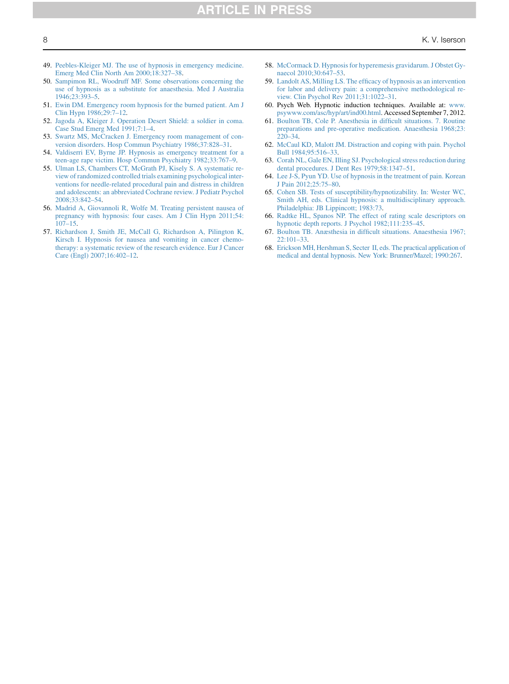# **ARTICLE IN PRESS**

- <span id="page-7-0"></span>49. [Peebles-Kleiger MJ. The use of hypnosis in emergency medicine.](http://refhub.elsevier.com/S0736-4679(13)01137-2/sref49) [Emerg Med Clin North Am 2000;18:327–38.](http://refhub.elsevier.com/S0736-4679(13)01137-2/sref49)
- 50. [Sampimon RL, Woodruff MF. Some observations concerning the](http://refhub.elsevier.com/S0736-4679(13)01137-2/sref50) [use of hypnosis as a substitute for anaesthesia. Med J Australia](http://refhub.elsevier.com/S0736-4679(13)01137-2/sref50) [1946;23:393–5.](http://refhub.elsevier.com/S0736-4679(13)01137-2/sref50)
- 51. [Ewin DM. Emergency room hypnosis for the burned patient. Am J](http://refhub.elsevier.com/S0736-4679(13)01137-2/sref51) [Clin Hypn 1986;29:7–12.](http://refhub.elsevier.com/S0736-4679(13)01137-2/sref51)
- 52. [Jagoda A, Kleiger J. Operation Desert Shield: a soldier in coma.](http://refhub.elsevier.com/S0736-4679(13)01137-2/sref52) [Case Stud Emerg Med 1991;7:1–4.](http://refhub.elsevier.com/S0736-4679(13)01137-2/sref52)
- 53. [Swartz MS, McCracken J. Emergency room management of con](http://refhub.elsevier.com/S0736-4679(13)01137-2/sref53)[version disorders. Hosp Commun Psychiatry 1986;37:828–31](http://refhub.elsevier.com/S0736-4679(13)01137-2/sref53).
- 54. [Valdiserri EV, Byrne JP. Hypnosis as emergency treatment for a](http://refhub.elsevier.com/S0736-4679(13)01137-2/sref54) [teen-age rape victim. Hosp Commun Psychiatry 1982;33:767–9](http://refhub.elsevier.com/S0736-4679(13)01137-2/sref54).
- 55. [Ulman LS, Chambers CT, McGrath PJ, Kisely S. A systematic re](http://refhub.elsevier.com/S0736-4679(13)01137-2/sref55)[view of randomized controlled trials examining psychological inter](http://refhub.elsevier.com/S0736-4679(13)01137-2/sref55)[ventions for needle-related procedural pain and distress in children](http://refhub.elsevier.com/S0736-4679(13)01137-2/sref55) [and adolescents: an abbreviated Cochrane review. J Pediatr Psychol](http://refhub.elsevier.com/S0736-4679(13)01137-2/sref55) [2008;33:842–54.](http://refhub.elsevier.com/S0736-4679(13)01137-2/sref55)
- 56. [Madrid A, Giovannoli R, Wolfe M. Treating persistent nausea of](http://refhub.elsevier.com/S0736-4679(13)01137-2/sref56) [pregnancy with hypnosis: four cases. Am J Clin Hypn 2011;54:](http://refhub.elsevier.com/S0736-4679(13)01137-2/sref56)  $107 - 15$ .
- 57. [Richardson J, Smith JE, McCall G, Richardson A, Pilington K,](http://refhub.elsevier.com/S0736-4679(13)01137-2/sref57) [Kirsch I. Hypnosis for nausea and vomiting in cancer chemo](http://refhub.elsevier.com/S0736-4679(13)01137-2/sref57)[therapy: a systematic review of the research evidence. Eur J Cancer](http://refhub.elsevier.com/S0736-4679(13)01137-2/sref57) [Care \(Engl\) 2007;16:402–12.](http://refhub.elsevier.com/S0736-4679(13)01137-2/sref57)
- 58. [McCormack D. Hypnosis for hyperemesis gravidarum. J Obstet Gy](http://refhub.elsevier.com/S0736-4679(13)01137-2/sref58)[naecol 2010;30:647–53.](http://refhub.elsevier.com/S0736-4679(13)01137-2/sref58)
- 59. [Landolt AS, Milling LS. The efficacy of hypnosis as an intervention](http://refhub.elsevier.com/S0736-4679(13)01137-2/sref59) [for labor and delivery pain: a comprehensive methodological re](http://refhub.elsevier.com/S0736-4679(13)01137-2/sref59)[view. Clin Psychol Rev 2011;31:1022–31](http://refhub.elsevier.com/S0736-4679(13)01137-2/sref59).
- 60. Psych Web. Hypnotic induction techniques. Available at: [www.](http://www.psywww.com/asc/hyp/art/ind00.html) [psywww.com/asc/hyp/art/ind00.html](http://www.psywww.com/asc/hyp/art/ind00.html). Accessed September 7, 2012.
- 61. [Boulton TB, Cole P. Anesthesia in difficult situations. 7. Routine](http://refhub.elsevier.com/S0736-4679(13)01137-2/sref60) [preparations and pre-operative medication. Anaesthesia 1968;23:](http://refhub.elsevier.com/S0736-4679(13)01137-2/sref60) [220–34](http://refhub.elsevier.com/S0736-4679(13)01137-2/sref60).
- 62. [McCaul KD, Malott JM. Distraction and coping with pain. Psychol](http://refhub.elsevier.com/S0736-4679(13)01137-2/sref61) [Bull 1984;95:516–33.](http://refhub.elsevier.com/S0736-4679(13)01137-2/sref61)
- 63. [Corah NL, Gale EN, Illing SJ. Psychological stress reduction during](http://refhub.elsevier.com/S0736-4679(13)01137-2/sref62) [dental procedures. J Dent Res 1979;58:1347–51.](http://refhub.elsevier.com/S0736-4679(13)01137-2/sref62)
- 64. [Lee J-S, Pyun YD. Use of hypnosis in the treatment of pain. Korean](http://refhub.elsevier.com/S0736-4679(13)01137-2/sref63) [J Pain 2012;25:75–80](http://refhub.elsevier.com/S0736-4679(13)01137-2/sref63).
- 65. [Cohen SB. Tests of susceptibility/hypnotizability. In: Wester WC,](http://refhub.elsevier.com/S0736-4679(13)01137-2/sref64) [Smith AH, eds. Clinical hypnosis: a multidisciplinary approach.](http://refhub.elsevier.com/S0736-4679(13)01137-2/sref64) [Philadelphia: JB Lippincott; 1983:73](http://refhub.elsevier.com/S0736-4679(13)01137-2/sref64).
- 66. [Radtke HL, Spanos NP. The effect of rating scale descriptors on](http://refhub.elsevier.com/S0736-4679(13)01137-2/sref65) [hypnotic depth reports. J Psychol 1982;111:235–45.](http://refhub.elsevier.com/S0736-4679(13)01137-2/sref65)
- 67. [Boulton TB. Anæsthesia in difficult situations. Anaesthesia 1967;](http://refhub.elsevier.com/S0736-4679(13)01137-2/sref66) [22:101–33.](http://refhub.elsevier.com/S0736-4679(13)01137-2/sref66)
- 68. [Erickson MH, Hershman S, Secter II, eds. The practical application of](http://refhub.elsevier.com/S0736-4679(13)01137-2/sref67) [medical and dental hypnosis. New York: Brunner/Mazel; 1990:267](http://refhub.elsevier.com/S0736-4679(13)01137-2/sref67).